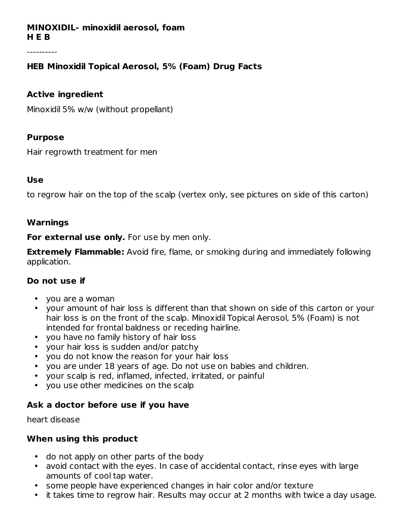#### **MINOXIDIL- minoxidil aerosol, foam H E B**

# **HEB Minoxidil Topical Aerosol, 5% (Foam) Drug Facts**

#### **Active ingredient**

Minoxidil 5% w/w (without propellant)

#### **Purpose**

Hair regrowth treatment for men

#### **Use**

to regrow hair on the top of the scalp (vertex only, see pictures on side of this carton)

#### **Warnings**

**For external use only.** For use by men only.

**Extremely Flammable:** Avoid fire, flame, or smoking during and immediately following application.

# **Do not use if**

- you are a woman
- your amount of hair loss is different than that shown on side of this carton or your hair loss is on the front of the scalp. Minoxidil Topical Aerosol, 5% (Foam) is not intended for frontal baldness or receding hairline.
- you have no family history of hair loss
- your hair loss is sudden and/or patchy
- you do not know the reason for your hair loss
- you are under 18 years of age. Do not use on babies and children.
- your scalp is red, inflamed, infected, irritated, or painful
- you use other medicines on the scalp

# **Ask a doctor before use if you have**

heart disease

# **When using this product**

- do not apply on other parts of the body
- avoid contact with the eyes. In case of accidental contact, rinse eyes with large amounts of cool tap water.
- some people have experienced changes in hair color and/or texture
- it takes time to regrow hair. Results may occur at 2 months with twice a day usage.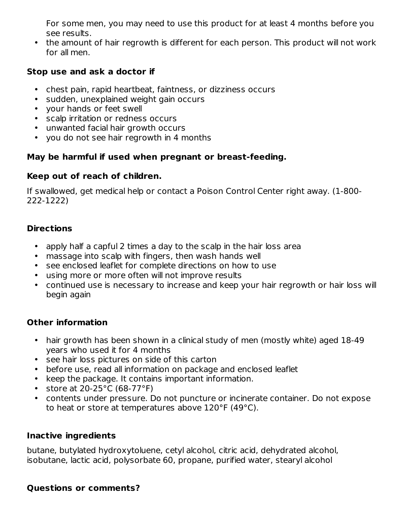For some men, you may need to use this product for at least 4 months before you see results.

• the amount of hair regrowth is different for each person. This product will not work for all men.

# **Stop use and ask a doctor if**

- chest pain, rapid heartbeat, faintness, or dizziness occurs
- sudden, unexplained weight gain occurs
- your hands or feet swell
- scalp irritation or redness occurs
- unwanted facial hair growth occurs
- you do not see hair regrowth in 4 months

# **May be harmful if used when pregnant or breast-feeding.**

#### **Keep out of reach of children.**

If swallowed, get medical help or contact a Poison Control Center right away. (1-800- 222-1222)

# **Directions**

- apply half a capful 2 times a day to the scalp in the hair loss area
- massage into scalp with fingers, then wash hands well
- see enclosed leaflet for complete directions on how to use
- using more or more often will not improve results
- continued use is necessary to increase and keep your hair regrowth or hair loss will begin again

# **Other information**

- hair growth has been shown in a clinical study of men (mostly white) aged 18-49 years who used it for 4 months
- see hair loss pictures on side of this carton
- before use, read all information on package and enclosed leaflet
- keep the package. It contains important information.
- store at 20-25°C (68-77°F)
- contents under pressure. Do not puncture or incinerate container. Do not expose to heat or store at temperatures above 120°F (49°C).

# **Inactive ingredients**

butane, butylated hydroxytoluene, cetyl alcohol, citric acid, dehydrated alcohol, isobutane, lactic acid, polysorbate 60, propane, purified water, stearyl alcohol

# **Questions or comments?**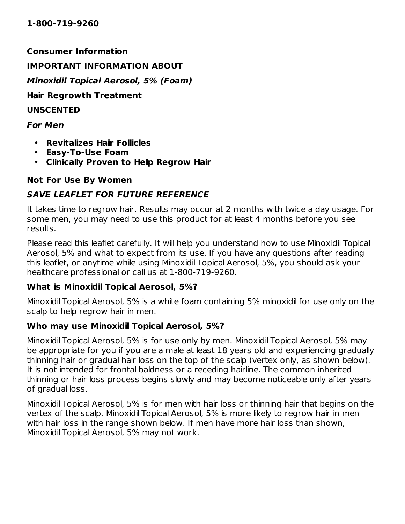**Consumer Information**

#### **IMPORTANT INFORMATION ABOUT**

**Minoxidil Topical Aerosol, 5% (Foam)**

**Hair Regrowth Treatment**

**UNSCENTED**

#### **For Men**

- **Revitalizes Hair Follicles**
- **Easy-To-Use Foam**
- **Clinically Proven to Help Regrow Hair**

# **Not For Use By Women**

# **SAVE LEAFLET FOR FUTURE REFERENCE**

It takes time to regrow hair. Results may occur at 2 months with twice a day usage. For some men, you may need to use this product for at least 4 months before you see results.

Please read this leaflet carefully. It will help you understand how to use Minoxidil Topical Aerosol, 5% and what to expect from its use. If you have any questions after reading this leaflet, or anytime while using Minoxidil Topical Aerosol, 5%, you should ask your healthcare professional or call us at 1-800-719-9260.

# **What is Minoxidil Topical Aerosol, 5%?**

Minoxidil Topical Aerosol, 5% is a white foam containing 5% minoxidil for use only on the scalp to help regrow hair in men.

# **Who may use Minoxidil Topical Aerosol, 5%?**

Minoxidil Topical Aerosol, 5% is for use only by men. Minoxidil Topical Aerosol, 5% may be appropriate for you if you are a male at least 18 years old and experiencing gradually thinning hair or gradual hair loss on the top of the scalp (vertex only, as shown below). It is not intended for frontal baldness or a receding hairline. The common inherited thinning or hair loss process begins slowly and may become noticeable only after years of gradual loss.

Minoxidil Topical Aerosol, 5% is for men with hair loss or thinning hair that begins on the vertex of the scalp. Minoxidil Topical Aerosol, 5% is more likely to regrow hair in men with hair loss in the range shown below. If men have more hair loss than shown, Minoxidil Topical Aerosol, 5% may not work.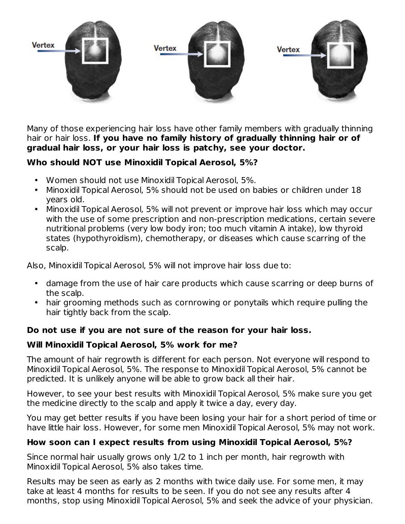

Many of those experiencing hair loss have other family members with gradually thinning hair or hair loss. **If you have no family history of gradually thinning hair or of gradual hair loss, or your hair loss is patchy, see your doctor.**

# **Who should NOT use Minoxidil Topical Aerosol, 5%?**

- Women should not use Minoxidil Topical Aerosol, 5%.
- Minoxidil Topical Aerosol, 5% should not be used on babies or children under 18 years old.
- Minoxidil Topical Aerosol, 5% will not prevent or improve hair loss which may occur with the use of some prescription and non-prescription medications, certain severe nutritional problems (very low body iron; too much vitamin A intake), low thyroid states (hypothyroidism), chemotherapy, or diseases which cause scarring of the scalp.

Also, Minoxidil Topical Aerosol, 5% will not improve hair loss due to:

- damage from the use of hair care products which cause scarring or deep burns of the scalp.
- hair grooming methods such as cornrowing or ponytails which require pulling the hair tightly back from the scalp.

# **Do not use if you are not sure of the reason for your hair loss.**

# **Will Minoxidil Topical Aerosol, 5% work for me?**

The amount of hair regrowth is different for each person. Not everyone will respond to Minoxidil Topical Aerosol, 5%. The response to Minoxidil Topical Aerosol, 5% cannot be predicted. It is unlikely anyone will be able to grow back all their hair.

However, to see your best results with Minoxidil Topical Aerosol, 5% make sure you get the medicine directly to the scalp and apply it twice a day, every day.

You may get better results if you have been losing your hair for a short period of time or have little hair loss. However, for some men Minoxidil Topical Aerosol, 5% may not work.

# **How soon can I expect results from using Minoxidil Topical Aerosol, 5%?**

Since normal hair usually grows only 1/2 to 1 inch per month, hair regrowth with Minoxidil Topical Aerosol, 5% also takes time.

Results may be seen as early as 2 months with twice daily use. For some men, it may take at least 4 months for results to be seen. If you do not see any results after 4 months, stop using Minoxidil Topical Aerosol, 5% and seek the advice of your physician.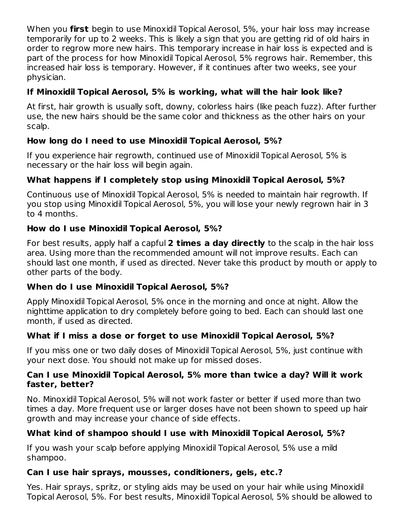When you **first** begin to use Minoxidil Topical Aerosol, 5%, your hair loss may increase temporarily for up to 2 weeks. This is likely a sign that you are getting rid of old hairs in order to regrow more new hairs. This temporary increase in hair loss is expected and is part of the process for how Minoxidil Topical Aerosol, 5% regrows hair. Remember, this increased hair loss is temporary. However, if it continues after two weeks, see your physician.

# **If Minoxidil Topical Aerosol, 5% is working, what will the hair look like?**

At first, hair growth is usually soft, downy, colorless hairs (like peach fuzz). After further use, the new hairs should be the same color and thickness as the other hairs on your scalp.

# **How long do I need to use Minoxidil Topical Aerosol, 5%?**

If you experience hair regrowth, continued use of Minoxidil Topical Aerosol, 5% is necessary or the hair loss will begin again.

# **What happens if I completely stop using Minoxidil Topical Aerosol, 5%?**

Continuous use of Minoxidil Topical Aerosol, 5% is needed to maintain hair regrowth. If you stop using Minoxidil Topical Aerosol, 5%, you will lose your newly regrown hair in 3 to 4 months.

# **How do I use Minoxidil Topical Aerosol, 5%?**

For best results, apply half a capful **2 times a day directly** to the scalp in the hair loss area. Using more than the recommended amount will not improve results. Each can should last one month, if used as directed. Never take this product by mouth or apply to other parts of the body.

# **When do I use Minoxidil Topical Aerosol, 5%?**

Apply Minoxidil Topical Aerosol, 5% once in the morning and once at night. Allow the nighttime application to dry completely before going to bed. Each can should last one month, if used as directed.

# **What if I miss a dose or forget to use Minoxidil Topical Aerosol, 5%?**

If you miss one or two daily doses of Minoxidil Topical Aerosol, 5%, just continue with your next dose. You should not make up for missed doses.

# **Can I use Minoxidil Topical Aerosol, 5% more than twice a day? Will it work faster, better?**

No. Minoxidil Topical Aerosol, 5% will not work faster or better if used more than two times a day. More frequent use or larger doses have not been shown to speed up hair growth and may increase your chance of side effects.

# **What kind of shampoo should I use with Minoxidil Topical Aerosol, 5%?**

If you wash your scalp before applying Minoxidil Topical Aerosol, 5% use a mild shampoo.

# **Can I use hair sprays, mousses, conditioners, gels, etc.?**

Yes. Hair sprays, spritz, or styling aids may be used on your hair while using Minoxidil Topical Aerosol, 5%. For best results, Minoxidil Topical Aerosol, 5% should be allowed to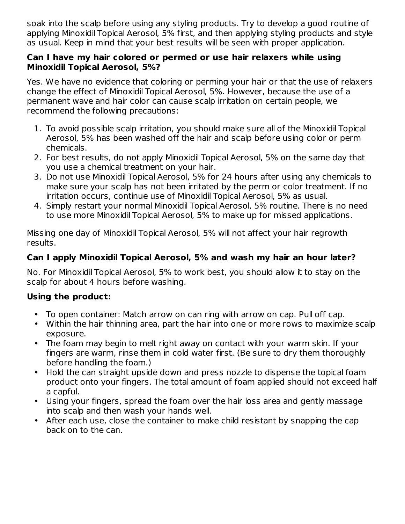soak into the scalp before using any styling products. Try to develop a good routine of applying Minoxidil Topical Aerosol, 5% first, and then applying styling products and style as usual. Keep in mind that your best results will be seen with proper application.

#### **Can I have my hair colored or permed or use hair relaxers while using Minoxidil Topical Aerosol, 5%?**

Yes. We have no evidence that coloring or perming your hair or that the use of relaxers change the effect of Minoxidil Topical Aerosol, 5%. However, because the use of a permanent wave and hair color can cause scalp irritation on certain people, we recommend the following precautions:

- 1. To avoid possible scalp irritation, you should make sure all of the Minoxidil Topical Aerosol, 5% has been washed off the hair and scalp before using color or perm chemicals.
- 2. For best results, do not apply Minoxidil Topical Aerosol, 5% on the same day that you use a chemical treatment on your hair.
- 3. Do not use Minoxidil Topical Aerosol, 5% for 24 hours after using any chemicals to make sure your scalp has not been irritated by the perm or color treatment. If no irritation occurs, continue use of Minoxidil Topical Aerosol, 5% as usual.
- 4. Simply restart your normal Minoxidil Topical Aerosol, 5% routine. There is no need to use more Minoxidil Topical Aerosol, 5% to make up for missed applications.

Missing one day of Minoxidil Topical Aerosol, 5% will not affect your hair regrowth results.

# **Can I apply Minoxidil Topical Aerosol, 5% and wash my hair an hour later?**

No. For Minoxidil Topical Aerosol, 5% to work best, you should allow it to stay on the scalp for about 4 hours before washing.

# **Using the product:**

- To open container: Match arrow on can ring with arrow on cap. Pull off cap.
- Within the hair thinning area, part the hair into one or more rows to maximize scalp exposure.
- The foam may begin to melt right away on contact with your warm skin. If your fingers are warm, rinse them in cold water first. (Be sure to dry them thoroughly before handling the foam.)
- Hold the can straight upside down and press nozzle to dispense the topical foam product onto your fingers. The total amount of foam applied should not exceed half a capful.
- Using your fingers, spread the foam over the hair loss area and gently massage into scalp and then wash your hands well.
- After each use, close the container to make child resistant by snapping the cap back on to the can.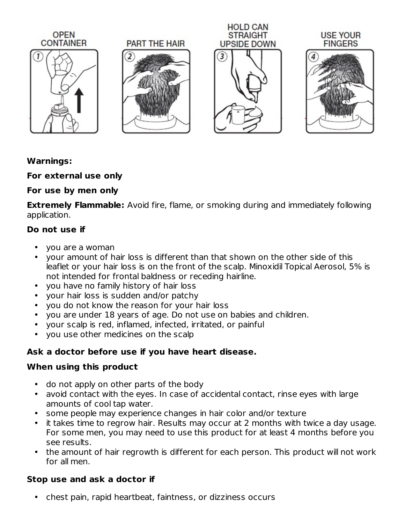

# **Warnings:**

# **For external use only**

# **For use by men only**

**Extremely Flammable:** Avoid fire, flame, or smoking during and immediately following application.

# **Do not use if**

- you are a woman
- your amount of hair loss is different than that shown on the other side of this leaflet or your hair loss is on the front of the scalp. Minoxidil Topical Aerosol, 5% is not intended for frontal baldness or receding hairline.
- you have no family history of hair loss
- your hair loss is sudden and/or patchy
- you do not know the reason for your hair loss
- you are under 18 years of age. Do not use on babies and children.
- your scalp is red, inflamed, infected, irritated, or painful
- you use other medicines on the scalp

# **Ask a doctor before use if you have heart disease.**

# **When using this product**

- do not apply on other parts of the body
- avoid contact with the eyes. In case of accidental contact, rinse eyes with large amounts of cool tap water.
- some people may experience changes in hair color and/or texture
- it takes time to regrow hair. Results may occur at 2 months with twice a day usage. For some men, you may need to use this product for at least 4 months before you see results.
- the amount of hair regrowth is different for each person. This product will not work for all men.

# **Stop use and ask a doctor if**

• chest pain, rapid heartbeat, faintness, or dizziness occurs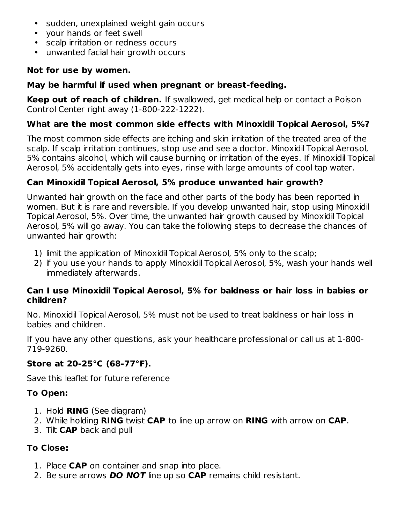- sudden, unexplained weight gain occurs
- your hands or feet swell
- scalp irritation or redness occurs
- unwanted facial hair growth occurs

# **Not for use by women.**

# **May be harmful if used when pregnant or breast-feeding.**

**Keep out of reach of children.** If swallowed, get medical help or contact a Poison Control Center right away (1-800-222-1222).

# **What are the most common side effects with Minoxidil Topical Aerosol, 5%?**

The most common side effects are itching and skin irritation of the treated area of the scalp. If scalp irritation continues, stop use and see a doctor. Minoxidil Topical Aerosol, 5% contains alcohol, which will cause burning or irritation of the eyes. If Minoxidil Topical Aerosol, 5% accidentally gets into eyes, rinse with large amounts of cool tap water.

# **Can Minoxidil Topical Aerosol, 5% produce unwanted hair growth?**

Unwanted hair growth on the face and other parts of the body has been reported in women. But it is rare and reversible. If you develop unwanted hair, stop using Minoxidil Topical Aerosol, 5%. Over time, the unwanted hair growth caused by Minoxidil Topical Aerosol, 5% will go away. You can take the following steps to decrease the chances of unwanted hair growth:

- 1) limit the application of Minoxidil Topical Aerosol, 5% only to the scalp;
- 2) if you use your hands to apply Minoxidil Topical Aerosol, 5%, wash your hands well immediately afterwards.

#### **Can I use Minoxidil Topical Aerosol, 5% for baldness or hair loss in babies or children?**

No. Minoxidil Topical Aerosol, 5% must not be used to treat baldness or hair loss in babies and children.

If you have any other questions, ask your healthcare professional or call us at 1-800- 719-9260.

# **Store at 20-25°C (68-77°F).**

Save this leaflet for future reference

# **To Open:**

- 1. Hold **RING** (See diagram)
- 2. While holding **RING** twist **CAP** to line up arrow on **RING** with arrow on **CAP**.
- 3. Tilt **CAP** back and pull

# **To Close:**

- 1. Place **CAP** on container and snap into place.
- 2. Be sure arrows **DO NOT** line up so **CAP** remains child resistant.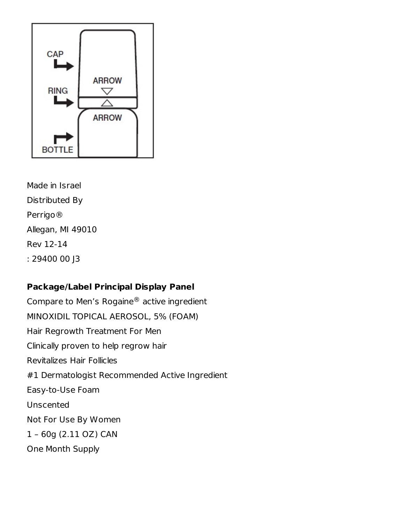

Made in Israel Distributed By Perrigo® Allegan, MI 49010 Rev 12-14 : 29400 00 J3

# **Package/Label Principal Display Panel**

Compare to Men's Rogaine $^{\circledR}$  active ingredient MINOXIDIL TOPICAL AEROSOL, 5% (FOAM) Hair Regrowth Treatment For Men Clinically proven to help regrow hair Revitalizes Hair Follicles #1 Dermatologist Recommended Active Ingredient Easy-to-Use Foam Unscented Not For Use By Women 1 – 60g (2.11 OZ) CAN One Month Supply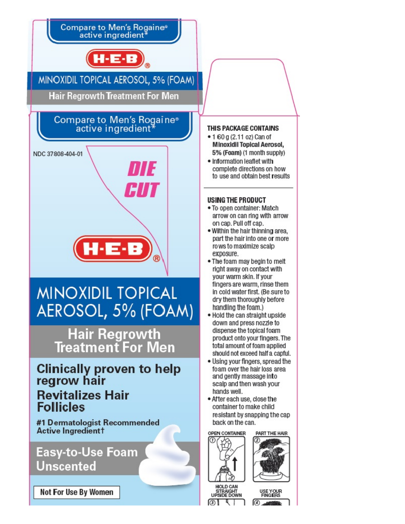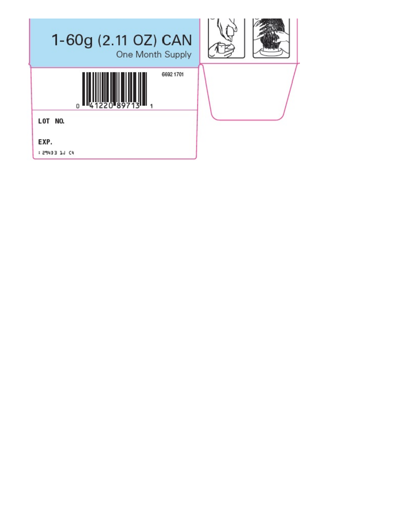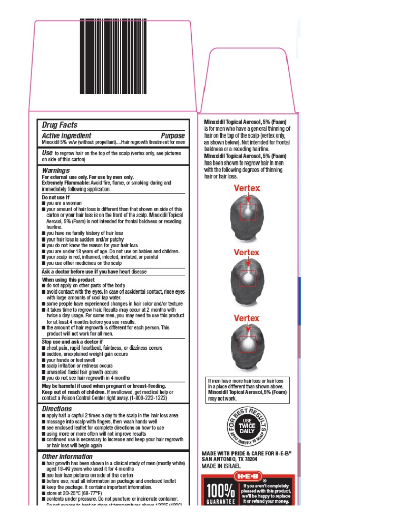#### **Drug Facts**

**Active Ingredient Purpose** Minoxidil 5% w/w (without propellant)....Hair regrowth treatment for men

Use to regrow hair on the top of the scalp (vertex only, see pictures on side of this carton)

#### Warnings

For external use only. For use by men only. Extremely Flammable: Awoid fire, flame, or smoking during and immediately following application.

- Do not use if
- vou are a woman
- your amount of hair loss is different than that shown on side of this carton or your hair loss is on the front of the scalp. Minoxidil Topical Aerosol, 5% (Foam) is not intended for frontal baldness or receding hairline.
- you have no family history of hair loss
- vour hair loss is sudden and/or patchy
- you do not know the reason for your hair loss
- you are under 18 years of age. Do not use on babies and children.
- vour scalp is red, inflamed, infected, irritated, or painful
- you use other medicines on the scalp

#### Ask a doctor before use if you have heart disease

- When using this product
- do not apply on other parts of the body
- avoid contact with the eyes. In case of accidental contact, rinse eyes with large amounts of cool tap water.
- some people have experienced changes in hair color and/or texture
- it takes time to regrow hair. Results may occur at 2 months with twice a day usage. For some men, you may need to use this product for at least 4 months before you see results.
- the amount of hair regrowth is different for each person. This product will not work for all men.

Stop use and ask a doctor if

- chest pain, rapid heartbeat, faintness, or dizziness occurs
- sudden, unexplained weight gain occurs
- vour hands or feet swell
- scalp irritation or redness occurs
- unwanted facial hair growth occurs
- you do not see hair regrowth in 4 months

May be harmful if used when pregnant or breast-feeding. Keep out of reach of children. If swallowed, get medical help or contact a Poison Control Center right away. (1-800-222-1222)

#### **Directions**

- apply half a capful 2 times a day to the scalp in the hair loss area
- massage into scalp with fingers, then wash hands well
- see enclosed leaflet for complete directions on how to use
- using more or more often will not improve results
- continued use is necessary to increase and keep your hair regrowth or hair loss will begin again

#### Other information

- hair growth has been shown in a clinical study of men (mostly white) aged 18-49 years who used it for 4 months
- see hair loss pictures on side of this carton
- before use, read all information on package and enclosed leaflet
- keep the package. It contains important information.
- store at 20-25°C (68-77°F)
- contents under pressure. Do not puncture or incinerate container. Do not express to best or store at teromorphises shows 1909E (409P).

Minoxidil Topical Aerosol, 5% (Foam) is for men who have a general thinning of hair on the top of the scalp (vertex only, as shown below). Not intended for frontal baldness or a receding hairline. Minoxidil Topical Aerosol, 5% (Foam) has been shown to regrow hair in men with the following degrees of thinning hair or hair loss.

# Vertex Vertex If men have more hair loss or hair loss in a place different than shown above, Minoxidil Topical Aerosol, 5% (Foam) may not work.



MADE WITH PRIDE & CARE FOR H-E-B® SAN ANTONIO, TX 78204 **MADE IN ISRAEL** 



e'll be happy to replac it or refund vour mon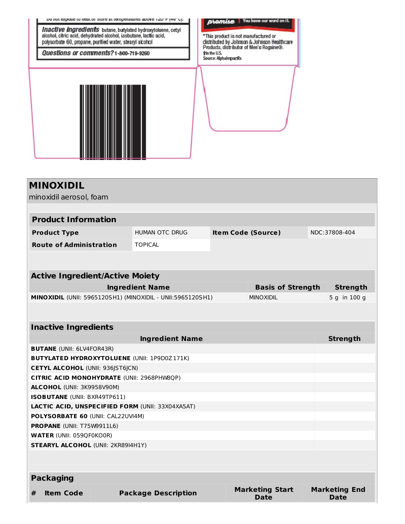

| <b>Product Information</b>     |                |                           |               |  |
|--------------------------------|----------------|---------------------------|---------------|--|
| <b>Product Type</b>            | HUMAN OTC DRUG | <b>Item Code (Source)</b> | NDC:37808-404 |  |
| <b>Route of Administration</b> | <b>TOPICAL</b> |                           |               |  |

| <b>Active Ingredient/Active Moiety</b>                            |                          |               |
|-------------------------------------------------------------------|--------------------------|---------------|
| <b>Ingredient Name</b>                                            | <b>Basis of Strength</b> | Strength      |
| <b>MINOXIDIL</b> (UNII: 5965120SH1) (MINOXIDIL - UNII:5965120SH1) | <b>MINOXIDIL</b>         | $5q$ in 100 q |
|                                                                   |                          |               |

| <b>Inactive Ingredients</b>                             |                        |                      |  |  |
|---------------------------------------------------------|------------------------|----------------------|--|--|
| <b>Ingredient Name</b>                                  |                        | <b>Strength</b>      |  |  |
| <b>BUTANE</b> (UNII: 6LV4FOR43R)                        |                        |                      |  |  |
| <b>BUTYLATED HYDROXYTOLUENE (UNII: 1P9D0Z171K)</b>      |                        |                      |  |  |
| <b>CETYL ALCOHOL (UNII: 936JST6JCN)</b>                 |                        |                      |  |  |
| <b>CITRIC ACID MONOHYDRATE (UNII: 2968PHW8QP)</b>       |                        |                      |  |  |
| <b>ALCOHOL (UNII: 3K9958V90M)</b>                       |                        |                      |  |  |
| <b>ISOBUTANE</b> (UNII: BXR49TP611)                     |                        |                      |  |  |
| <b>LACTIC ACID, UNSPECIFIED FORM (UNII: 33X04XA5AT)</b> |                        |                      |  |  |
| <b>POLYSORBATE 60 (UNII: CAL22UVI4M)</b>                |                        |                      |  |  |
| <b>PROPANE</b> (UNII: T75W9911L6)                       |                        |                      |  |  |
| <b>WATER (UNII: 059QF0KO0R)</b>                         |                        |                      |  |  |
| <b>STEARYL ALCOHOL (UNII: 2KR89I4H1Y)</b>               |                        |                      |  |  |
|                                                         |                        |                      |  |  |
|                                                         |                        |                      |  |  |
| <b>Packaging</b>                                        |                        |                      |  |  |
| ш.<br>Deelseare, Deeewhetter<br>Hema Cede               | <b>Marketing Start</b> | <b>Marketing End</b> |  |  |

| # Item Code | <b>Package Description</b> | <b>Marketing Start</b><br>Date | <b>Marketing E</b><br>Date |
|-------------|----------------------------|--------------------------------|----------------------------|
|             |                            |                                |                            |